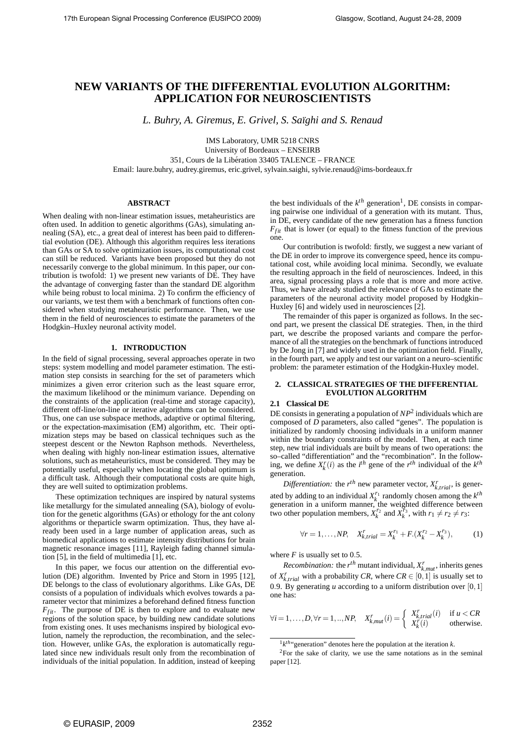# **NEW VARIANTS OF THE DIFFERENTIAL EVOLUTION ALGORITHM: APPLICATION FOR NEUROSCIENTISTS**

*L. Buhry, A. Giremus, E. Grivel, S. Sa¨ıghi and S. Renaud*

IMS Laboratory, UMR 5218 CNRS

University of Bordeaux – ENSEIRB

351, Cours de la Liberation 33405 TALENCE – FRANCE ´

Email: laure.buhry, audrey.giremus, eric.grivel, sylvain.saighi, sylvie.renaud@ims-bordeaux.fr

# **ABSTRACT**

When dealing with non-linear estimation issues, metaheuristics are often used. In addition to genetic algorithms (GAs), simulating annealing (SA), etc., a great deal of interest has been paid to differential evolution (DE). Although this algorithm requires less iterations than GAs or SA to solve optimization issues, its computational cost can still be reduced. Variants have been proposed but they do not necessarily converge to the global minimum. In this paper, our contribution is twofold: 1) we present new variants of DE. They have the advantage of converging faster than the standard DE algorithm while being robust to local minima. 2) To confirm the efficiency of our variants, we test them with a benchmark of functions often considered when studying metaheuristic performance. Then, we use them in the field of neurosciences to estimate the parameters of the Hodgkin–Huxley neuronal activity model.

# **1. INTRODUCTION**

In the field of signal processing, several approaches operate in two steps: system modelling and model parameter estimation. The estimation step consists in searching for the set of parameters which minimizes a given error criterion such as the least square error, the maximum likelihood or the minimum variance. Depending on the constraints of the application (real-time and storage capacity), different off-line/on-line or iterative algorithms can be considered. Thus, one can use subspace methods, adaptive or optimal filtering, or the expectation-maximisation (EM) algorithm, etc. Their optimization steps may be based on classical techniques such as the steepest descent or the Newton Raphson methods. Nevertheless, when dealing with highly non-linear estimation issues, alternative solutions, such as metaheuristics, must be considered. They may be potentially useful, especially when locating the global optimum is a difficult task. Although their computational costs are quite high, they are well suited to optimization problems.

These optimization techniques are inspired by natural systems like metallurgy for the simulated annealing (SA), biology of evolution for the genetic algorithms (GAs) or ethology for the ant colony algorithms or theparticle swarm optimization. Thus, they have already been used in a large number of application areas, such as biomedical applications to estimate intensity distributions for brain magnetic resonance images [11], Rayleigh fading channel simulation [5], in the field of multimedia [1], etc.

In this paper, we focus our attention on the differential evolution (DE) algorithm. Invented by Price and Storn in 1995 [12], DE belongs to the class of evolutionary algorithms. Like GAs, DE consists of a population of individuals which evolves towards a parameter vector that minimizes a beforehand defined fitness function  $F_{fit}$ . The purpose of DE is then to explore and to evaluate new regions of the solution space, by building new candidate solutions from existing ones. It uses mechanisms inspired by biological evolution, namely the reproduction, the recombination, and the selection. However, unlike GAs, the exploration is automatically regulated since new individuals result only from the recombination of individuals of the initial population. In addition, instead of keeping

the best individuals of the  $k^{th}$  generation<sup>1</sup>, DE consists in comparing pairwise one individual of a generation with its mutant. Thus, in DE, every candidate of the new generation has a fitness function  $F_{fit}$  that is lower (or equal) to the fitness function of the previous one.

Our contribution is twofold: firstly, we suggest a new variant of the DE in order to improve its convergence speed, hence its computational cost, while avoiding local minima. Secondly, we evaluate the resulting approach in the field of neurosciences. Indeed, in this area, signal processing plays a role that is more and more active. Thus, we have already studied the relevance of GAs to estimate the parameters of the neuronal activity model proposed by Hodgkin– Huxley [6] and widely used in neurosciences [2].

The remainder of this paper is organized as follows. In the second part, we present the classical DE strategies. Then, in the third part, we describe the proposed variants and compare the performance of all the strategies on the benchmark of functions introduced by De Jong in [7] and widely used in the optimization field. Finally, in the fourth part, we apply and test our variant on a neuro–scientific problem: the parameter estimation of the Hodgkin-Huxley model.

## **2. CLASSICAL STRATEGIES OF THE DIFFERENTIAL EVOLUTION ALGORITHM**

## **2.1 Classical DE**

DE consists in generating a population of *NP*<sup>2</sup> individuals which are composed of *D* parameters, also called "genes". The population is initialized by randomly choosing individuals in a uniform manner within the boundary constraints of the model. Then, at each time step, new trial individuals are built by means of two operations: the so–called "differentiation" and the "recombination". In the following, we define  $X_k^r(i)$  as the *i*<sup>th</sup> gene of the *r*<sup>th</sup> individual of the *k*<sup>th</sup> generation.

*Differentiation:* the  $r^{th}$  new parameter vector,  $X_{k, trial}^r$ , is generated by adding to an individual  $X_k^{r_1}$  randomly chosen among the  $k^{th}$ generation in a uniform manner, the weighted difference between two other population members,  $X_k^{r_2}$  and  $X_k^{r_3}$ , with  $r_1 \neq r_2 \neq r_3$ :

$$
\forall r = 1, \dots, NP, \quad X_{k, trial}^r = X_k^{r_1} + F \cdot (X_k^{r_2} - X_k^{r_3}), \tag{1}
$$

where  $F$  is usually set to 0.5.

*Recombination:* the  $r^{th}$  mutant individual,  $X_{k, mut}^r$ , inherits genes of  $X_{k, trial}^r$  with a probability *CR*, where  $CR \in [0, 1]$  is usually set to 0.9. By generating  $u$  according to a uniform distribution over  $[0,1]$ one has:

$$
\forall i = 1, ..., D, \forall r = 1, ..., NP, \quad X_{k,mul}^r(i) = \begin{cases} X_{k,trial}^r(i) & \text{if } u < CR \\ X_k^r(i) & \text{otherwise.} \end{cases}
$$

<sup>&</sup>lt;sup>1</sup> $k<sup>th</sup>$ " generation" denotes here the population at the iteration  $k$ .

<sup>2</sup>For the sake of clarity, we use the same notations as in the seminal paper [12].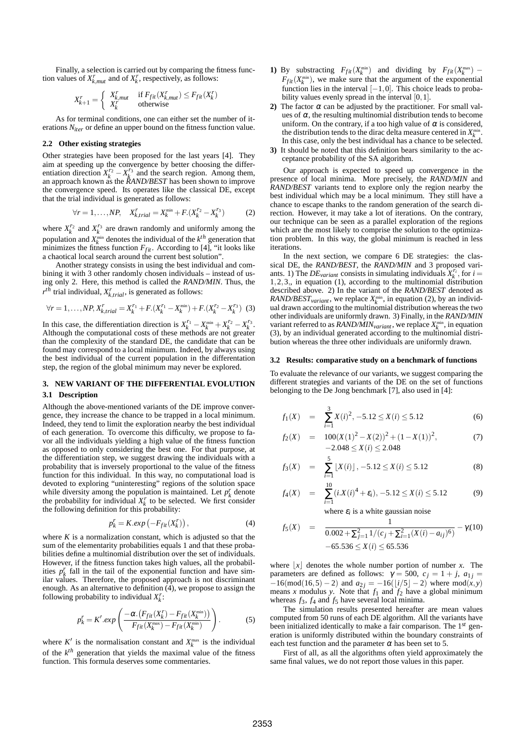Finally, a selection is carried out by comparing the fitness function values of  $X_{k, mut}$  and of  $X_k^r$ , respectively, as follows:

$$
X_{k+1}^r = \begin{cases} X_{k, mut}^r & \text{if } F_{fit}(X_{k, mut}^r) \le F_{fit}(X_k^r) \\ X_k^r & \text{otherwise} \end{cases}
$$

As for terminal conditions, one can either set the number of iterations *Niter* or define an upper bound on the fitness function value.

## **2.2 Other existing strategies**

Other strategies have been proposed for the last years [4]. They aim at speeding up the convergence by better choosing the differentiation direction  $X_k^{r_2} - X_k^{r_3}$  and the search region. Among them, an approach known as the *RAND/BEST* has been shown to improve the convergence speed. Its operates like the classical DE, except that the trial individual is generated as follows:

$$
\forall r = 1, ..., NP, \quad X_{k, trial}^r = X_k^{\min} + F.(X_k^{r_2} - X_k^{r_3}) \tag{2}
$$

where  $X_k^{r_2}$  and  $X_k^{r_3}$  are drawn randomly and uniformly among the population and  $X_k^{\min}$  denotes the individual of the  $k^{th}$  generation that minimizes the fitness function  $F_{fit}$ . According to [4], "it looks like a chaotical local search around the current best solution".

Another strategy consists in using the best individual and combining it with 3 other randomly chosen individuals – instead of using only 2. Here, this method is called the *RAND/MIN*. Thus, the  $r^{th}$  trial individual,  $X_{k, trial}^r$ , is generated as follows:

$$
\forall r = 1, \dots, NP, X_{k, trial}^r = X_k^{r_1} + F \cdot (X_k^{r_1} - X_k^{\min}) + F \cdot (X_k^{r_2} - X_k^{r_3})
$$
 (3)

In this case, the differentiation direction is  $X_k^{r_1} - X_k^{\min} + X_k^{r_2} - X_k^{r_3}$ . Although the computational costs of these methods are not greater than the complexity of the standard DE, the candidate that can be found may correspond to a local minimum. Indeed, by always using the best individual of the current population in the differentation step, the region of the global minimum may never be explored.

# **3. NEW VARIANT OF THE DIFFERENTIAL EVOLUTION 3.1 Description**

Although the above-mentioned variants of the DE improve convergence, they increase the chance to be trapped in a local minimum. Indeed, they tend to limit the exploration nearby the best individual of each generation. To overcome this difficulty, we propose to favor all the individuals yielding a high value of the fitness function as opposed to only considering the best one. For that purpose, at the differentiation step, we suggest drawing the individuals with a probability that is inversely proportional to the value of the fitness function for this individual. In this way, no computational load is devoted to exploring "uninteresting" regions of the solution space while diversity among the population is maintained. Let  $p_k^r$  denote the probability for individual  $X_k^r$  to be selected. We first consider the following definition for this probability:

$$
p_k^r = K.exp\left(-F_{fit}(X_k^r)\right),\tag{4}
$$

where  $K$  is a normalization constant, which is adjusted so that the sum of the elementarity probabilities equals 1 and that these probabilities define a multinomial distribution over the set of individuals. However, if the fitness function takes high values, all the probabilities  $p_k^r$  fall in the tail of the exponential function and have similar values. Therefore, the proposed approach is not discriminant enough. As an alternative to definition (4), we propose to assign the following probability to individual  $X_k^r$ :

$$
p_k^r = K'.exp\left(\frac{-\alpha.(F_{fit}(X_k^r) - F_{fit}(X_k^{\min}))}{F_{fit}(X_k^{\max}) - F_{fit}(X_k^{\min})}\right).
$$
 (5)

where  $K'$  is the normalisation constant and  $X_k^{\max}$  is the individual of the  $k^{th}$  generation that yields the maximal value of the fitness function. This formula deserves some commentaries.

- 1) By substracting  $F_{fit}(X_k^{\text{min}})$  and dividing by  $F_{fit}(X_k^{\text{max}})$   $F_{fit}(X_k^{\text{min}})$ , we make sure that the argument of the exponential function lies in the interval  $[-1,0]$ . This choice leads to probability values evenly spread in the interval [0, 1].
- **2)** The factor  $\alpha$  can be adjusted by the practitioner. For small values of  $\alpha$ , the resulting multinomial distribution tends to become uniform. On the contrary, if a too high value of  $\alpha$  is considered, the distribution tends to the dirac delta measure centered in  $X_k^{\min}$ . In this case, only the best individual has a chance to be selected.
- **3)** It should be noted that this definition bears similarity to the acceptance probability of the SA algorithm.

Our approach is expected to speed up convergence in the presence of local minima. More precisely, the *RAND/MIN* and *RAND/BEST* variants tend to explore only the region nearby the best individual which may be a local minimum. They still have a chance to escape thanks to the random generation of the search direction. However, it may take a lot of iterations. On the contrary, our technique can be seen as a parallel exploration of the regions which are the most likely to comprise the solution to the optimization problem. In this way, the global minimum is reached in less iterations.

In the next section, we compare 6 DE strategies: the classical DE, the *RAND/BEST*, the *RAND/MIN* and 3 proposed variants. 1) The *DE*<sub>variant</sub> consists in simulating individuals  $X_k^{r_i}$ , for  $i =$ 1,2,3,, in equation (1), according to the multinomial distribution described above. 2) In the variant of the *RAND/BEST* denoted as *RAND/BEST*<sub>*variant*</sub>, we replace  $X_k^{\min}$ , in equation (2), by an individual drawn according to the multinomial distribution whereas the two other individuals are uniformly drawn. 3) Finally, in the *RAND/MIN* variant referred to as  $RAND/MIN_{variant}$ , we replace  $X_k^{\min}$ , in equation (3), by an individual generated according to the multinomial distribution whereas the three other individuals are uniformly drawn.

#### **3.2 Results: comparative study on a benchmark of functions**

To evaluate the relevance of our variants, we suggest comparing the different strategies and variants of the DE on the set of functions belonging to the De Jong benchmark [7], also used in [4]:

$$
f_1(X) = \sum_{i=1}^{3} X(i)^2, -5.12 \le X(i) \le 5.12
$$
 (6)

$$
f_2(X) = 100(X(1)^2 - X(2))^2 + (1 - X(1))^2,
$$
  
-2.048 \le X(i) \le 2.048 (7)

$$
f_3(X) = \sum_{i=1}^{5} \lfloor X(i) \rfloor, -5.12 \le X(i) \le 5.12
$$
 (8)

$$
f_4(X) = \sum_{i=1}^{10} (i.X(i)^4 + \varepsilon_i), -5.12 \le X(i) \le 5.12
$$
 (9)

where  $\varepsilon_i$  is a white gaussian noise

$$
f_5(X) = \frac{1}{0.002 + \sum_{j=1}^{2} 1/(c_j + \sum_{i=1}^{2} (X(i) - a_{ij})^6)} - \gamma(10) -65.536 \le X(i) \le 65.536
$$

where  $|x|$  denotes the whole number portion of number *x*. The parameters are defined as follows:  $\gamma = 500$ ,  $c_j = 1 + j$ ,  $a_{1j} =$  $-16(\text{mod}(16,5) - 2)$  and  $a_{2j} = -16(\lfloor i/5 \rfloor - 2)$  where  $\text{mod}(x, y)$ means *x* modulus *y*. Note that  $f_1$  and  $f_2$  have a global minimum whereas  $f_3$ ,  $f_4$  and  $f_5$  have several local minima.

The simulation results presented hereafter are mean values computed from 50 runs of each DE algorithm. All the variants have been initialized identically to make a fair comparison. The 1*st* generation is uniformly distributed within the boundary constraints of each test function and the parameter  $\alpha$  has been set to 5.

First of all, as all the algorithms often yield approximately the same final values, we do not report those values in this paper.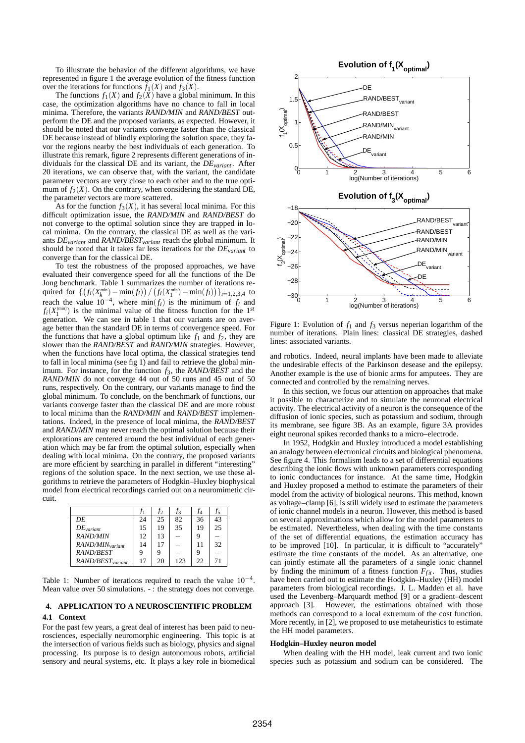To illustrate the behavior of the different algorithms, we have represented in figure 1 the average evolution of the fitness function over the iterations for functions  $f_1(X)$  and  $f_3(X)$ .

The functions  $f_1(X)$  and  $f_2(X)$  have a global minimum. In this case, the optimization algorithms have no chance to fall in local minima. Therefore, the variants *RAND/MIN* and *RAND/BEST* outperform the DE and the proposed variants, as expected. However, it should be noted that our variants converge faster than the classical DE because instead of blindly exploring the solution space, they favor the regions nearby the best individuals of each generation. To illustrate this remark, figure 2 represents different generations of individuals for the classical DE and its variant, the *DEvariant* . After 20 iterations, we can observe that, with the variant, the candidate parameter vectors are very close to each other and to the true optimum of  $f_2(X)$ . On the contrary, when considering the standard DE, the parameter vectors are more scattered.

As for the function  $f_3(X)$ , it has several local minima. For this difficult optimization issue, the *RAND/MIN* and *RAND/BEST* do not converge to the optimal solution since they are trapped in local minima. On the contrary, the classical DE as well as the variants *DEvariant* and *RAND/BESTvariant* reach the global minimum. It should be noted that it takes far less iterations for the *DEvariant* to converge than for the classical DE.

To test the robustness of the proposed approaches, we have evaluated their convergence speed for all the functions of the De Jong benchmark. Table 1 summarizes the number of iterations required for  $\left\{ \left( f_i(X_k^{\min}) - \min(f_i) \right) / \left( f_i(X_1^{\min}) - \min(f_i) \right) \right\}$ <sub>*i*=1,2,3,4</sub> to reach the value  $10^{-4}$ , where min $(f_i)$  is the minimum of  $f_i$  and  $f_i(X_1^{\text{(min)}})$  is the minimal value of the fitness function for the 1<sup>st</sup> generation. We can see in table 1 that our variants are on average better than the standard DE in terms of convergence speed. For the functions that have a global optimum like  $f_1$  and  $f_2$ , they are slower than the *RAND/BEST* and *RAND/MIN* strategies. However, when the functions have local optima, the classical strategies tend to fall in local minima (see fig 1) and fail to retrieve the global minimum. For instance, for the function *f*3, the *RAND/BEST* and the *RAND/MIN* do not converge 44 out of 50 runs and 45 out of 50 runs, respectively. On the contrary, our variants manage to find the global minimum. To conclude, on the benchmark of functions, our variants converge faster than the classical DE and are more robust to local minima than the *RAND/MIN* and *RAND/BEST* implementations. Indeed, in the presence of local minima, the *RAND/BEST* and *RAND/MIN* may never reach the optimal solution because their explorations are centered around the best individual of each generation which may be far from the optimal solution, especially when dealing with local minima. On the contrary, the proposed variants are more efficient by searching in parallel in different "interesting" regions of the solution space. In the next section, we use these algorithms to retrieve the parameters of Hodgkin–Huxley biophysical model from electrical recordings carried out on a neuromimetic circuit.

|                              |     | t2 | T3  | T4 | Ť5 |
|------------------------------|-----|----|-----|----|----|
| DE                           | 24  | 25 | 82  | 36 | 43 |
| $DE$ <sub>variant</sub>      | 15  | 19 | 35  | 19 | 25 |
| <b>RAND/MIN</b>              | 12. | 13 |     | q  |    |
| RAND/MIN <sub>variant</sub>  | 14  | 17 |     | 11 | 32 |
| <b>RAND/BEST</b>             |     | 9  |     | q  |    |
| RAND/BEST <sub>variant</sub> | 17  | 20 | 123 | フフ | 71 |

Table 1: Number of iterations required to reach the value  $10^{-4}$ . Mean value over 50 simulations. - : the strategy does not converge.

## **4. APPLICATION TO A NEUROSCIENTIFIC PROBLEM 4.1 Context**

For the past few years, a great deal of interest has been paid to neurosciences, especially neuromorphic engineering. This topic is at the intersection of various fields such as biology, physics and signal processing. Its purpose is to design autonomous robots, artificial sensory and neural systems, etc. It plays a key role in biomedical



Figure 1: Evolution of  $f_1$  and  $f_3$  versus neperian logarithm of the number of iterations. Plain lines: classical DE strategies, dashed lines: associated variants.

and robotics. Indeed, neural implants have been made to alleviate the undesirable effects of the Parkinson desease and the epilepsy. Another example is the use of bionic arms for amputees. They are connected and controlled by the remaining nerves.

In this section, we focus our attention on approaches that make it possible to characterize and to simulate the neuronal electrical activity. The electrical activity of a neuron is the consequence of the diffusion of ionic species, such as potassium and sodium, through its membrane, see figure 3B. As an example, figure 3A provides eight neuronal spikes recorded thanks to a micro–electrode.

In 1952, Hodgkin and Huxley introduced a model establishing an analogy between electronical circuits and biological phenomena. See figure 4. This formalism leads to a set of differential equations describing the ionic flows with unknown parameters corresponding to ionic conductances for instance. At the same time, Hodgkin and Huxley proposed a method to estimate the parameters of their model from the activity of biological neurons. This method, known as voltage–clamp [6], is still widely used to estimate the parameters of ionic channel models in a neuron. However, this method is based on several approximations which allow for the model parameters to be estimated. Nevertheless, when dealing with the time constants of the set of differential equations, the estimation accuracy has to be improved [10]. In particular, it is difficult to "accurately" estimate the time constants of the model. As an alternative, one can jointly estimate all the parameters of a single ionic channel by finding the minimum of a fitness function  $F_{fit}$ . Thus, studies have been carried out to estimate the Hodgkin–Huxley (HH) model parameters from biological recordings. J. L. Madden et al. have used the Levenberg–Marquardt method [9] or a gradient–descent approach [3]. However, the estimations obtained with those methods can correspond to a local extremum of the cost function. More recently, in [2], we proposed to use metaheuristics to estimate the HH model parameters.

## **Hodgkin–Huxley neuron model**

When dealing with the HH model, leak current and two ionic species such as potassium and sodium can be considered. The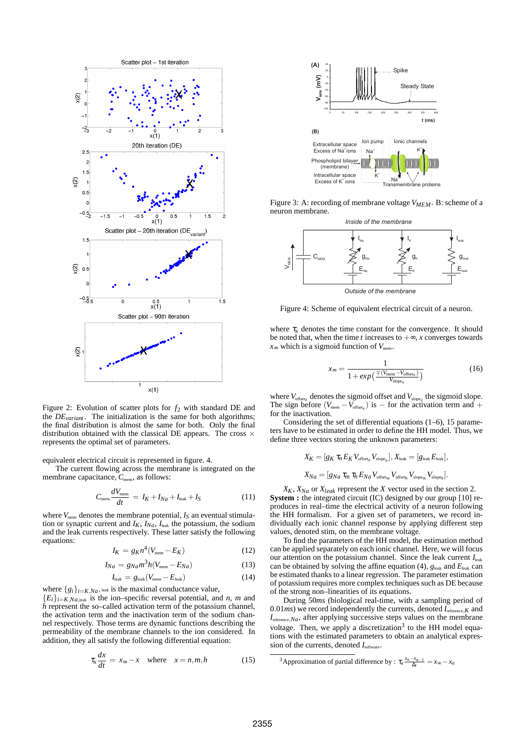

Figure 2: Evolution of scatter plots for *f*<sup>2</sup> with standard DE and the  $DE_{variant}$ . The initialization is the same for both algorithms; the final distribution is almost the same for both. Only the final distribution obtained with the classical DE appears. The cross  $\times$ represents the optimal set of parameters.

equivalent electrical circuit is represented in figure. 4.

The current flowing across the membrane is integrated on the membrane capacitance,  $C_{\text{mem}}$ , as follows:

$$
C_{\text{mem}}\frac{dV_{\text{mem}}}{dt} = I_K + I_{Na} + I_{\text{leak}} + I_S \tag{11}
$$

where  $V_{\text{mem}}$  denotes the membrane potential,  $I_S$  an eventual stimulation or synaptic current and  $I_K$ ,  $I_{Na}$ ,  $I_{leak}$  the potassium, the sodium and the leak currents respectively. These latter satisfy the following equations:

$$
I_K = g_K n^4 (V_{\text{mem}} - E_K) \tag{12}
$$

$$
I_{Na} = g_{Na}m^3h(V_{\text{mem}} - E_{Na})
$$
 (13)

$$
I_{\text{leak}} = g_{\text{leak}} (V_{\text{mem}} - E_{\text{leak}}) \tag{14}
$$

where  $\{g_i\}_{i=K,N_a}$ , leak is the maximal conductance value,  ${E_i}_{i \in K, Na,$  leak is the ion–specific reversal potential, and *n*, *m* and *h* represent the so–called activation term of the potassium channel, the activation term and the inactivation term of the sodium channel respectively. Those terms are dynamic functions describing the permeability of the membrane channels to the ion considered. In addition, they all satisfy the following differential equation:

$$
\tau_x \frac{dx}{dt} = x_{\infty} - x \quad \text{where} \quad x = n, m, h \tag{15}
$$



Figure 3: A: recording of membrane voltage *VMEM*. B: scheme of a neuron membrane.



Figure 4: Scheme of equivalent electrical circuit of a neuron.

where  $\tau_x$  denotes the time constant for the convergence. It should be noted that, when the time *t* increases to  $+\infty$ , *x* converges towards  $x_{\infty}$  which is a sigmoid function of  $V_{\text{mem}}$ .

$$
x_{\infty} = \frac{1}{1 + exp\left(\frac{\mp (V_{\text{mem}} - V_{\text{offset}_{x}})}{V_{\text{slope}_{x}}}\right)}
$$
(16)

where  $V_{\text{offset}_x}$  denotes the sigmoid offset and  $V_{\text{slope}_x}$  the sigmoid slope. The sign before  $(V_{\text{mem}} - V_{\text{offset}_x})$  is – for the activation term and + for the inactivation.

Considering the set of differential equations (1–6), 15 parameters have to be estimated in order to define the HH model. Thus, we define three vectors storing the unknown parameters:

$$
X_K = [g_K \tau_n E_K V_{\text{offset}_n} V_{\text{slope}_n}], X_{\text{leak}} = [g_{\text{leak}} E_{\text{leak}}],
$$
  

$$
X_{Na} = [g_{Na} \tau_m \tau_h E_{Na} V_{\text{offset}_m} V_{\text{offset}_h} V_{\text{slope}_m} V_{\text{slope}_h}].
$$

 $X_K$ ,  $X_{Na}$  or  $X_{leak}$  represent the *X* vector used in the section 2. **System :** the integrated circuit (IC) designed by our group [10] reproduces in real–time the electrical activity of a neuron following the HH formalism. For a given set of parameters, we record individually each ionic channel response by applying different step values, denoted stim, on the membrane voltage.

To find the parameters of the HH model, the estimation method can be applied separately on each ionic channel. Here, we will focus our attention on the potassium channel. Since the leak current  $I_{\text{leak}}$ can be obtained by solving the affine equation (4),  $g_{\text{leak}}$  and  $E_{\text{leak}}$  can be estimated thanks to a linear regression. The parameter estimation of potassium requires more complex techniques such as DE because of the strong non–linearities of its equations.

During 50*ms* (biological real-time, with a sampling period of 0.01 $ms$ ) we record independently the currents, denoted  $I_{\text{reference},K}$  and  $I_{\text{reference},Na}$ , after applying successive steps values on the membrane voltage. Then, we apply a discretization<sup>3</sup> to the HH model equations with the estimated parameters to obtain an analytical expression of the currents, denoted  $I_{\text{software}}$ .

<sup>3</sup>Approximation of partial difference by :  $\tau_x \frac{x_n - x_{n-1}}{\Delta_t} = x_\infty - x_n$